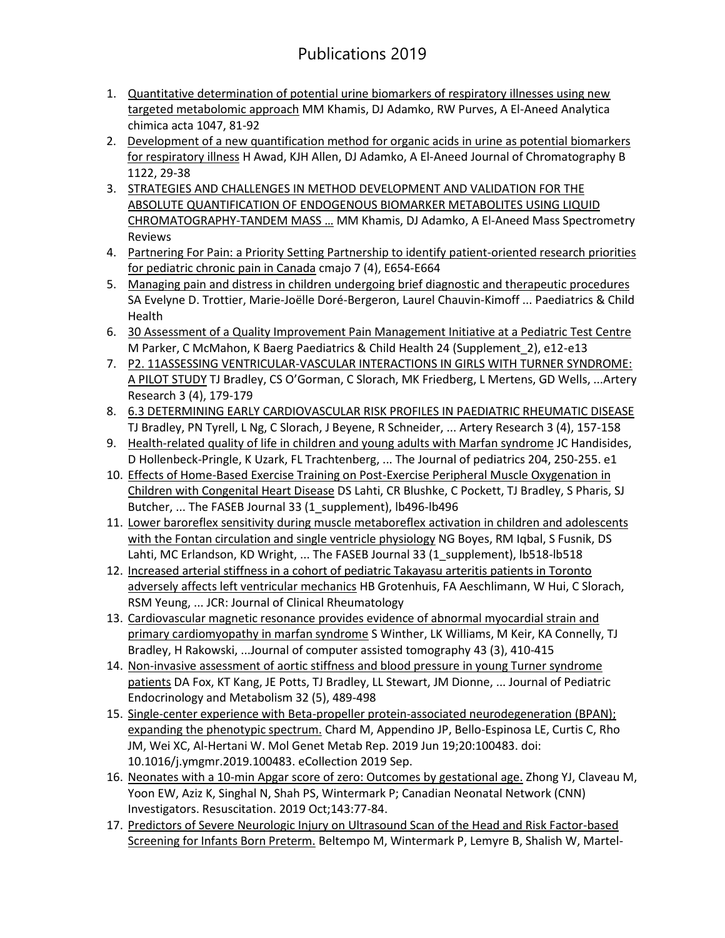## Publications 2019

- 1. [Quantitative determination of potential urine biomarkers of respiratory illnesses using new](javascript:void(0))  [targeted metabolomic approach](javascript:void(0)) MM Khamis, DJ Adamko, RW Purves, A El-Aneed Analytica chimica acta 1047, 81-92
- 2. [Development of a new quantification method for organic acids in urine as potential biomarkers](javascript:void(0))  [for respiratory illness](javascript:void(0)) H Awad, KJH Allen, DJ Adamko, A El-Aneed Journal of Chromatography B 1122, 29-38
- 3. [STRATEGIES AND CHALLENGES IN METHOD DEVELOPMENT AND VALIDATION FOR THE](javascript:void(0))  [ABSOLUTE QUANTIFICATION OF ENDOGENOUS BIOMARKER METABOLITES USING LIQUID](javascript:void(0))  [CHROMATOGRAPHY‐TANDEM MASS](javascript:void(0)) … MM Khamis, DJ Adamko, A El‐Aneed Mass Spectrometry Reviews
- 4. [Partnering For Pain: a Priority Setting Partnership to identify patient-oriented research priorities](javascript:void(0))  [for pediatric chronic pain in Canada](javascript:void(0)) cmajo 7 (4), E654-E664
- 5. Managing pain and distress in children [undergoing brief diagnostic and therapeutic procedures](javascript:void(0)) SA Evelyne D. Trottier, Marie-Joëlle Doré-Bergeron, Laurel Chauvin-Kimoff ... Paediatrics & Child Health
- 6. [30 Assessment of a Quality Improvement Pain Management Initiative at a Pediatric Test Centre](javascript:void(0)) M Parker, C McMahon, K Baerg Paediatrics & Child Health 24 (Supplement\_2), e12-e13
- 7. [P2. 11ASSESSING VENTRICULAR-VASCULAR INTERACTIONS IN GIRLS WITH TURNER SYNDROME:](javascript:void(0))  [A PILOT STUDY](javascript:void(0)) TJ Bradley, CS O'Gorman, C Slorach, MK Friedberg, L Mertens, GD Wells, ...Artery Research 3 (4), 179-179
- 8. [6.3 DETERMINING EARLY CARDIOVASCULAR RISK PROFILES IN PAEDIATRIC RHEUMATIC DISEASE](javascript:void(0)) TJ Bradley, PN Tyrell, L Ng, C Slorach, J Beyene, R Schneider, ... Artery Research 3 (4), 157-158
- 9. [Health-related quality of life in children and young adults with Marfan syndrome](javascript:void(0)) JC Handisides, D Hollenbeck-Pringle, K Uzark, FL Trachtenberg, ... The Journal of pediatrics 204, 250-255. e1
- 10. Effects of Home-Based Exercise Training on Post-Exercise Peripheral Muscle Oxygenation in [Children with Congenital Heart Disease](javascript:void(0)) DS Lahti, CR Blushke, C Pockett, TJ Bradley, S Pharis, SJ Butcher, ... The FASEB Journal 33 (1 supplement), lb496-lb496
- 11. [Lower baroreflex sensitivity during muscle metaboreflex](javascript:void(0)) activation in children and adolescents [with the Fontan circulation and single ventricle physiology](javascript:void(0)) NG Boyes, RM Iqbal, S Fusnik, DS Lahti, MC Erlandson, KD Wright, ... The FASEB Journal 33 (1\_supplement), lb518-lb518
- 12. [Increased arterial stiffness in a cohort of pediatric Takayasu arteritis patients in Toronto](javascript:void(0))  [adversely affects left ventricular mechanics](javascript:void(0)) HB Grotenhuis, FA Aeschlimann, W Hui, C Slorach, RSM Yeung, ... JCR: Journal of Clinical Rheumatology
- 13. [Cardiovascular magnetic resonance provides evidence of abnormal myocardial strain and](javascript:void(0))  [primary cardiomyopathy in marfan syndrome](javascript:void(0)) S Winther, LK Williams, M Keir, KA Connelly, TJ Bradley, H Rakowski, ...Journal of computer assisted tomography 43 (3), 410-415
- 14. [Non-invasive assessment of aortic stiffness and blood pressure in young Turner syndrome](javascript:void(0))  [patients](javascript:void(0)) DA Fox, KT Kang, JE Potts, TJ Bradley, LL Stewart, JM Dionne, ... Journal of Pediatric Endocrinology and Metabolism 32 (5), 489-498
- 15. [Single-center experience with Beta-propeller protein-associated neurodegeneration \(BPAN\);](https://www.ncbi.nlm.nih.gov/pubmed/31293896)  [expanding the phenotypic spectrum.](https://www.ncbi.nlm.nih.gov/pubmed/31293896) Chard M, Appendino JP, Bello-Espinosa LE, Curtis C, Rho JM, Wei XC, Al-Hertani W. Mol Genet Metab Rep. 2019 Jun 19;20:100483. doi: 10.1016/j.ymgmr.2019.100483. eCollection 2019 Sep.
- 16. [Neonates with a 10-min Apgar score of zero: Outcomes by gestational age.](https://www.ncbi.nlm.nih.gov/pubmed/31421194) Zhong YJ, Claveau M, Yoon EW, Aziz K, Singhal N, Shah PS, Wintermark P; Canadian Neonatal Network (CNN) Investigators. Resuscitation. 2019 Oct;143:77-84.
- 17. [Predictors of Severe Neurologic Injury on Ultrasound Scan of the Head and Risk Factor-based](https://www.ncbi.nlm.nih.gov/pubmed/31377043)  [Screening for Infants Born Preterm.](https://www.ncbi.nlm.nih.gov/pubmed/31377043) Beltempo M, Wintermark P, Lemyre B, Shalish W, Martel-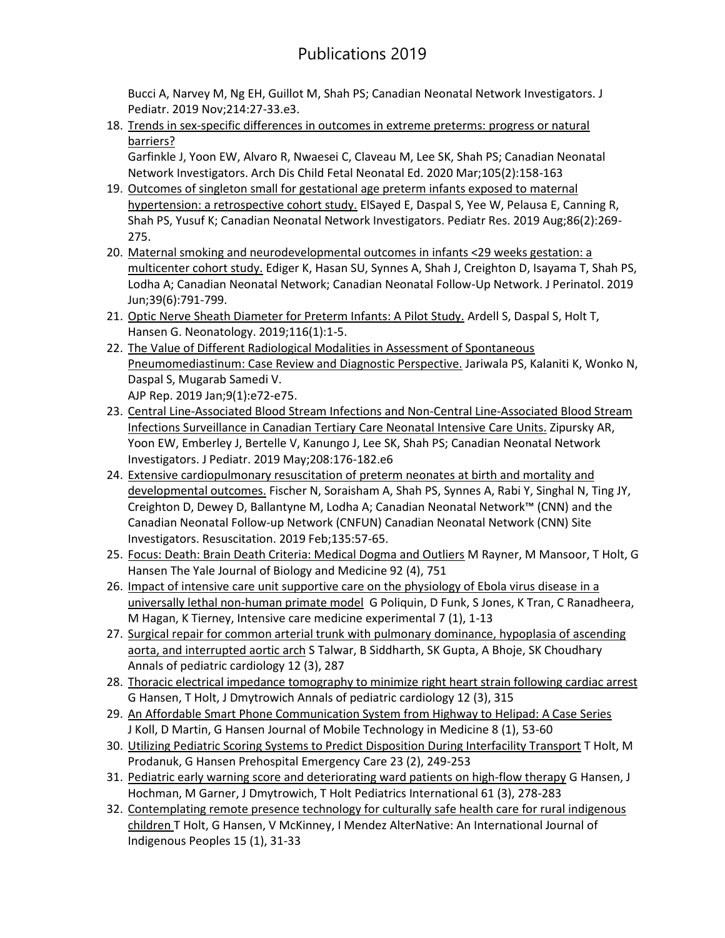## Publications 2019

Bucci A, Narvey M, Ng EH, Guillot M, Shah PS; Canadian Neonatal Network Investigators. J Pediatr. 2019 Nov;214:27-33.e3.

18. [Trends in sex-specific differences in outcomes in extreme preterms: progress or natural](https://www.ncbi.nlm.nih.gov/pubmed/31186268)  [barriers?](https://www.ncbi.nlm.nih.gov/pubmed/31186268)

Garfinkle J, Yoon EW, Alvaro R, Nwaesei C, Claveau M, Lee SK, Shah PS; Canadian Neonatal Network Investigators. Arch Dis Child Fetal Neonatal Ed. 2020 Mar;105(2):158-163

- 19. [Outcomes of singleton small for gestational age preterm infants exposed to maternal](https://www.ncbi.nlm.nih.gov/pubmed/31086284)  [hypertension: a retrospective cohort study.](https://www.ncbi.nlm.nih.gov/pubmed/31086284) ElSayed E, Daspal S, Yee W, Pelausa E, Canning R, Shah PS, Yusuf K; Canadian Neonatal Network Investigators. Pediatr Res. 2019 Aug;86(2):269- 275.
- 20. [Maternal smoking and neurodevelopmental outcomes in infants <29 weeks gestation: a](https://www.ncbi.nlm.nih.gov/pubmed/30996278)  [multicenter cohort study.](https://www.ncbi.nlm.nih.gov/pubmed/30996278) Ediger K, Hasan SU, Synnes A, Shah J, Creighton D, Isayama T, Shah PS, Lodha A; Canadian Neonatal Network; Canadian Neonatal Follow-Up Network. J Perinatol. 2019 Jun;39(6):791-799.
- 21. [Optic Nerve Sheath Diameter for Preterm Infants: A Pilot Study.](https://www.ncbi.nlm.nih.gov/pubmed/30889584) Ardell S, Daspal S, Holt T, Hansen G. Neonatology. 2019;116(1):1-5.
- 22. [The Value of Different Radiological Modalities in Assessment of Spontaneous](https://www.ncbi.nlm.nih.gov/pubmed/30854247)  [Pneumomediastinum: Case Review and Diagnostic Perspective.](https://www.ncbi.nlm.nih.gov/pubmed/30854247) Jariwala PS, Kalaniti K, Wonko N, Daspal S, Mugarab Samedi V. AJP Rep. 2019 Jan;9(1):e72-e75.
- 23. [Central Line-Associated Blood Stream Infections and Non-Central Line-Associated Blood Stream](https://www.ncbi.nlm.nih.gov/pubmed/30853200)  [Infections Surveillance in Canadian Tertiary Care Neonatal Intensive Care Units.](https://www.ncbi.nlm.nih.gov/pubmed/30853200) Zipursky AR, Yoon EW, Emberley J, Bertelle V, Kanungo J, Lee SK, Shah PS; Canadian Neonatal Network Investigators. J Pediatr. 2019 May;208:176-182.e6
- 24. Extensive cardiopulmonary resuscitation of preterm neonates at birth and mortality and [developmental outcomes.](https://www.ncbi.nlm.nih.gov/pubmed/30629993) Fischer N, Soraisham A, Shah PS, Synnes A, Rabi Y, Singhal N, Ting JY, Creighton D, Dewey D, Ballantyne M, Lodha A; Canadian Neonatal Network™ (CNN) and the Canadian Neonatal Follow-up Network (CNFUN) Canadian Neonatal Network (CNN) Site Investigators. Resuscitation. 2019 Feb;135:57-65.
- 25. [Focus: Death: Brain Death Criteria: Medical Dogma and Outliers](javascript:void(0)) M Rayner, M Mansoor, T Holt, G Hansen The Yale Journal of Biology and Medicine 92 (4), 751
- 26. [Impact of intensive care unit supportive care on the physiology of Ebola virus disease in a](javascript:void(0))  [universally lethal non-human primate model](javascript:void(0)) G Poliquin, D Funk, S Jones, K Tran, C Ranadheera, M Hagan, K Tierney, Intensive care medicine experimental 7 (1), 1-13
- 27. [Surgical repair for common arterial trunk with pulmonary dominance, hypoplasia of ascending](javascript:void(0))  [aorta, and interrupted aortic arch](javascript:void(0)) S Talwar, B Siddharth, SK Gupta, A Bhoje, SK Choudhary Annals of pediatric cardiology 12 (3), 287
- 28. [Thoracic electrical impedance tomography to minimize right heart strain following cardiac arrest](javascript:void(0)) G Hansen, T Holt, J Dmytrowich Annals of pediatric cardiology 12 (3), 315
- 29. [An Affordable Smart Phone Communication System from Highway to Helipad: A Case Series](javascript:void(0)) J Koll, D Martin, G Hansen Journal of Mobile Technology in Medicine 8 (1), 53-60
- 30. [Utilizing Pediatric Scoring Systems to Predict Disposition During Interfacility Transport](javascript:void(0)) T Holt, M Prodanuk, G Hansen Prehospital Emergency Care 23 (2), 249-253
- 31. Pediatric early warni[ng score and deteriorating ward patients on high‐flow therapy](javascript:void(0)) G Hansen, J Hochman, M Garner, J Dmytrowich, T Holt Pediatrics International 61 (3), 278-283
- 32. [Contemplating remote presence technology for culturally safe health care for rural indigenous](javascript:void(0))  [children](javascript:void(0)) T Holt, G Hansen, V McKinney, I Mendez AlterNative: An International Journal of Indigenous Peoples 15 (1), 31-33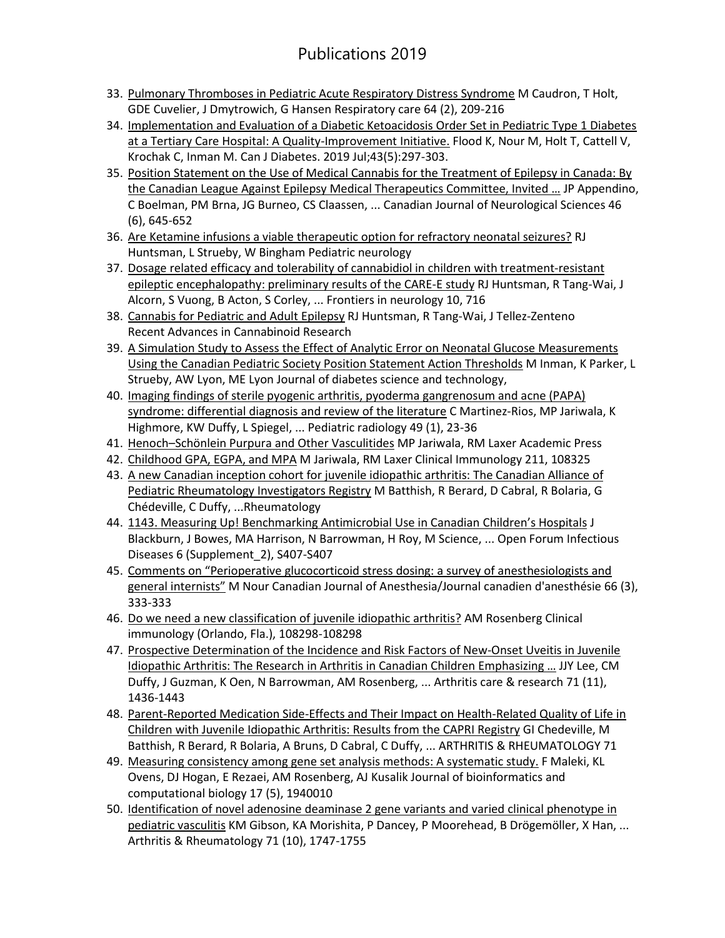## Publications 2019

- 33. [Pulmonary Thromboses in Pediatric Acute Respiratory Distress Syndrome](javascript:void(0)) M Caudron, T Holt, GDE Cuvelier, J Dmytrowich, G Hansen Respiratory care 64 (2), 209-216
- 34. [Implementation and Evaluation of a Diabetic Ketoacidosis Order Set in Pediatric Type 1 Diabetes](https://www.ncbi.nlm.nih.gov/pubmed/30777707)  [at a Tertiary Care Hospital: A Quality-Improvement Initiative.](https://www.ncbi.nlm.nih.gov/pubmed/30777707) Flood K, Nour M, Holt T, Cattell V, Krochak C, Inman M. Can J Diabetes. 2019 Jul;43(5):297-303.
- 35. [Position Statement on the Use of Medical Cannabis for the Treatment of Epilepsy in Canada: By](javascript:void(0))  [the Canadian League Against Epilepsy Medical Therapeutics Committee, Invited](javascript:void(0)) … JP Appendino, C Boelman, PM Brna, JG Burneo, CS Claassen, ... Canadian Journal of Neurological Sciences 46 (6), 645-652
- 36. [Are Ketamine infusions a viable therapeutic option for refractory neonatal seizures?](javascript:void(0)) RJ Huntsman, L Strueby, W Bingham Pediatric neurology
- 37. [Dosage related efficacy and tolerability of cannabidiol in children with treatment-resistant](javascript:void(0))  [epileptic encephalopathy: preliminary results of the CARE-E study](javascript:void(0)) RJ Huntsman, R Tang-Wai, J Alcorn, S Vuong, B Acton, S Corley, ... Frontiers in neurology 10, 716
- 38. [Cannabis for Pediatric and Adult Epilepsy](javascript:void(0)) RJ Huntsman, R Tang-Wai, J Tellez-Zenteno Recent Advances in Cannabinoid Research
- 39. [A Simulation Study to Assess the Effect of Analytic Error on Neonatal Glucose Measurements](javascript:void(0))  [Using the Canadian Pediatric Society Position Statement Action Thresholds](javascript:void(0)) M Inman, K Parker, L Strueby, AW Lyon, ME Lyon Journal of diabetes science and technology,
- 40. [Imaging findings of sterile pyogenic arthritis, pyoderma gangrenosum and acne \(PAPA\)](javascript:void(0))  [syndrome: differential diagnosis and review of the literature](javascript:void(0)) C Martinez-Rios, MP Jariwala, K Highmore, KW Duffy, L Spiegel, ... Pediatric radiology 49 (1), 23-36
- 41. Henoch–[Schönlein Purpura and Other Vasculitides](javascript:void(0)) MP Jariwala, RM Laxer Academic Press
- 42. [Childhood GPA, EGPA, and MPA](javascript:void(0)) M Jariwala, RM Laxer Clinical Immunology 211, 108325
- 43. A new Canadian inception cohort for juvenile idiopathic arthritis: The Canadian Alliance of [Pediatric Rheumatology Investigators Registry](javascript:void(0)) M Batthish, R Berard, D Cabral, R Bolaria, G Chédeville, C Duffy, ...Rheumatology
- 44. [1143. Measuring Up! Benchmarking Antimicrobial Use in Canadian](javascript:void(0)) Children's Hospitals J Blackburn, J Bowes, MA Harrison, N Barrowman, H Roy, M Science, ... Open Forum Infectious Diseases 6 (Supplement\_2), S407-S407
- 45. [Comments on "Perioperative glucocorticoid stress dosing: a survey of a](javascript:void(0))nesthesiologists and [general internists"](javascript:void(0)) M Nour Canadian Journal of Anesthesia/Journal canadien d'anesthésie 66 (3), 333-333
- 46. [Do we need a new classification of juvenile idiopathic arthritis?](javascript:void(0)) AM Rosenberg Clinical immunology (Orlando, Fla.), 108298-108298
- 47. [Prospective Determination of the Incidence and Risk Factors of New‐Onset Uveitis in Juvenile](javascript:void(0))  [Idiopathic Arthritis: The Research in Arthritis in Canadian Children Emphasizing](javascript:void(0)) … JJY Lee, CM Duffy, J Guzman, K Oen, N Barrowman, AM Rosenberg, ... Arthritis care & research 71 (11), 1436-1443
- 48. [Parent-Reported Medication Side-Effects and Their Impact on Health-Related Quality of Life in](javascript:void(0))  [Children with Juvenile Idiopathic Arthritis: Results from the CAPRI Registry](javascript:void(0)) GI Chedeville, M Batthish, R Berard, R Bolaria, A Bruns, D Cabral, C Duffy, ... ARTHRITIS & RHEUMATOLOGY 71
- 49. [Measuring consistency among gene set analysis methods: A systematic study.](javascript:void(0)) F Maleki, KL Ovens, DJ Hogan, E Rezaei, AM Rosenberg, AJ Kusalik Journal of bioinformatics and computational biology 17 (5), 1940010
- 50. [Identification of novel adenosine deaminase 2 gene variants and varied](javascript:void(0)) clinical phenotype in [pediatric vasculitis](javascript:void(0)) KM Gibson, KA Morishita, P Dancey, P Moorehead, B Drögemöller, X Han, ... Arthritis & Rheumatology 71 (10), 1747-1755